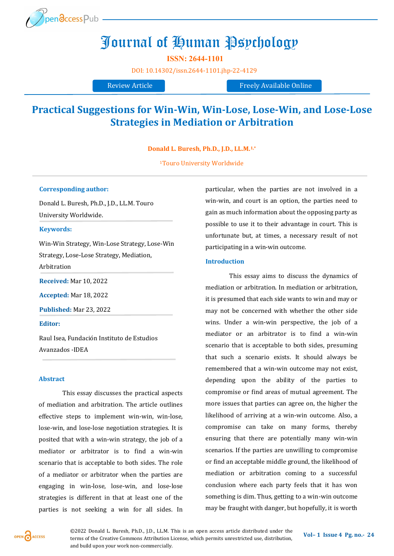

# Journal of Human Psychology

**ISSN: 2644-1101**

[DOI:](https://doi.org/10.14302/issn.2639-3166.jar-21-3872) [10.14302/issn.2644](https://doi.org/10.14302/issn.2644-1101.jhp-22-4129)-1101.jhp-22-4129

Review Article Freely Available Online

# **Practical Suggestions for Win-Win, Win-Lose, Lose-Win, and Lose-Lose Strategies in Mediation or Arbitration**

**Donald L. Buresh, Ph.D., J.D., LL.M.1,\***

<sup>1</sup>Touro University Worldwide

#### **Corresponding author:**

Donald L. Buresh, Ph.D., J.D., LL.M. Touro University Worldwide.

#### **Keywords:**

Win-Win Strategy, Win-Lose Strategy, Lose-Win Strategy, Lose-Lose Strategy, Mediation,

Arbitration

**Received:** Mar 10, 2022

**Accepted:** Mar 18, 2022

**Published:** Mar 23, 2022

#### **Editor:**

Raul Isea, Fundación Instituto de Estudios Avanzados -IDEA

#### **Abstract**

This essay discusses the practical aspects of mediation and arbitration. The article outlines effective steps to implement win-win, win-lose, lose-win, and lose-lose negotiation strategies. It is posited that with a win-win strategy, the job of a mediator or arbitrator is to find a win-win scenario that is acceptable to both sides. The role of a mediator or arbitrator when the parties are engaging in win-lose, lose-win, and lose-lose strategies is different in that at least one of the parties is not seeking a win for all sides. In

particular, when the parties are not involved in a win-win, and court is an option, the parties need to gain as much information about the opposing party as possible to use it to their advantage in court. This is unfortunate but, at times, a necessary result of not participating in a win-win outcome.

#### **Introduction**

This essay aims to discuss the dynamics of mediation or arbitration. In mediation or arbitration, it is presumed that each side wants to win and may or may not be concerned with whether the other side wins. Under a win-win perspective, the job of a mediator or an arbitrator is to find a win-win scenario that is acceptable to both sides, presuming that such a scenario exists. It should always be remembered that a win-win outcome may not exist, depending upon the ability of the parties to compromise or find areas of mutual agreement. The more issues that parties can agree on, the higher the likelihood of arriving at a win-win outcome. Also, a compromise can take on many forms, thereby ensuring that there are potentially many win-win scenarios. If the parties are unwilling to compromise or find an acceptable middle ground, the likelihood of mediation or arbitration coming to a successful conclusion where each party feels that it has won something is dim. Thus, getting to a win-win outcome may be fraught with danger, but hopefully, it is worth

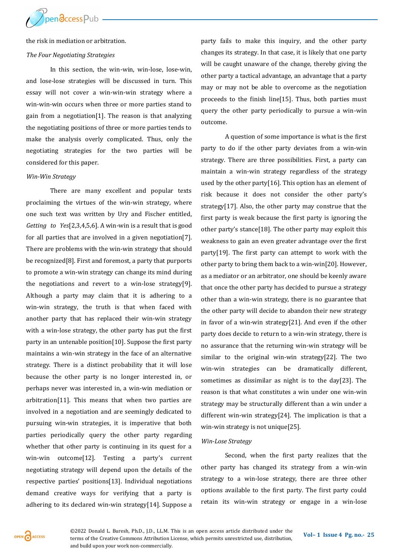

the risk in mediation or arbitration.

# *The Four Negotiating Strategies*

In this section, the win-win, win-lose, lose-win, and lose-lose strategies will be discussed in turn. This essay will not cover a win-win-win strategy where a win-win-win occurs when three or more parties stand to gain from a negotiation[1]. The reason is that analyzing the negotiating positions of three or more parties tends to make the analysis overly complicated. Thus, only the negotiating strategies for the two parties will be considered for this paper.

#### *Win-Win Strategy*

There are many excellent and popular texts proclaiming the virtues of the win-win strategy, where one such text was written by Ury and Fischer entitled, *Getting to Yes*[2,3,4,5,6]. A win-win is a result that is good for all parties that are involved in a given negotiation[7]. There are problems with the win-win strategy that should be recognized[8]. First and foremost, a party that purports to promote a win-win strategy can change its mind during the negotiations and revert to a win-lose strategy[9]. Although a party may claim that it is adhering to a win-win strategy, the truth is that when faced with another party that has replaced their win-win strategy with a win-lose strategy, the other party has put the first party in an untenable position[10]. Suppose the first party maintains a win-win strategy in the face of an alternative strategy. There is a distinct probability that it will lose because the other party is no longer interested in, or perhaps never was interested in, a win-win mediation or arbitration[11]. This means that when two parties are involved in a negotiation and are seemingly dedicated to pursuing win-win strategies, it is imperative that both parties periodically query the other party regarding whether that other party is continuing in its quest for a win-win outcome[12]. Testing a party's current negotiating strategy will depend upon the details of the respective parties' positions[13]. Individual negotiations demand creative ways for verifying that a party is adhering to its declared win-win strategy[14]. Suppose a party fails to make this inquiry, and the other party changes its strategy. In that case, it is likely that one party will be caught unaware of the change, thereby giving the other party a tactical advantage, an advantage that a party may or may not be able to overcome as the negotiation proceeds to the finish line[15]. Thus, both parties must query the other party periodically to pursue a win-win outcome.

A question of some importance is what is the first party to do if the other party deviates from a win-win strategy. There are three possibilities. First, a party can maintain a win-win strategy regardless of the strategy used by the other party[16]. This option has an element of risk because it does not consider the other party's strategy[17]. Also, the other party may construe that the first party is weak because the first party is ignoring the other party's stance[18]. The other party may exploit this weakness to gain an even greater advantage over the first party[19]. The first party can attempt to work with the other party to bring them back to a win-win[20]. However, as a mediator or an arbitrator, one should be keenly aware that once the other party has decided to pursue a strategy other than a win-win strategy, there is no guarantee that the other party will decide to abandon their new strategy in favor of a win-win strategy[21]. And even if the other party does decide to return to a win-win strategy, there is no assurance that the returning win-win strategy will be similar to the original win-win strategy[22]. The two win-win strategies can be dramatically different, sometimes as dissimilar as night is to the day[23]. The reason is that what constitutes a win under one win-win strategy may be structurally different than a win under a different win-win strategy[24]. The implication is that a win-win strategy is not unique[25].

#### *Win-Lose Strategy*

Second, when the first party realizes that the other party has changed its strategy from a win-win strategy to a win-lose strategy, there are three other options available to the first party. The first party could retain its win-win strategy or engage in a win-lose

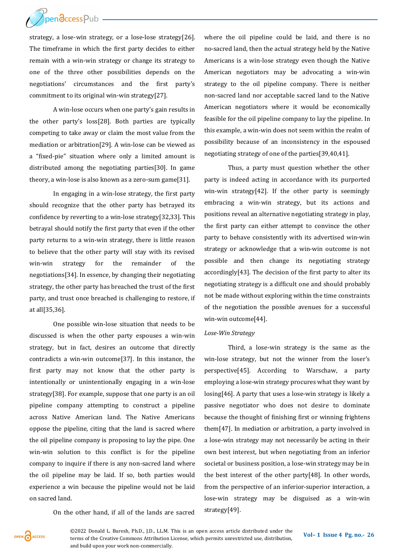

strategy, a lose-win strategy, or a lose-lose strategy[26]. The timeframe in which the first party decides to either remain with a win-win strategy or change its strategy to one of the three other possibilities depends on the negotiations' circumstances and the first party's commitment to its original win-win strategy[27].

A win-lose occurs when one party's gain results in the other party's loss[28]. Both parties are typically competing to take away or claim the most value from the mediation or arbitration[29]. A win-lose can be viewed as a "fixed-pie" situation where only a limited amount is distributed among the negotiating parties[30]. In game theory, a win-lose is also known as a zero-sum game[31].

In engaging in a win-lose strategy, the first party should recognize that the other party has betrayed its confidence by reverting to a win-lose strategy[32,33]. This betrayal should notify the first party that even if the other party returns to a win-win strategy, there is little reason to believe that the other party will stay with its revised win-win strategy for the remainder of the negotiations[34]. In essence, by changing their negotiating strategy, the other party has breached the trust of the first party, and trust once breached is challenging to restore, if at all[35,36].

One possible win-lose situation that needs to be discussed is when the other party espouses a win-win strategy, but in fact, desires an outcome that directly contradicts a win-win outcome[37]. In this instance, the first party may not know that the other party is intentionally or unintentionally engaging in a win-lose strategy[38]. For example, suppose that one party is an oil pipeline company attempting to construct a pipeline across Native American land. The Native Americans oppose the pipeline, citing that the land is sacred where the oil pipeline company is proposing to lay the pipe. One win-win solution to this conflict is for the pipeline company to inquire if there is any non-sacred land where the oil pipeline may be laid. If so, both parties would experience a win because the pipeline would not be laid on sacred land.

On the other hand, if all of the lands are sacred

where the oil pipeline could be laid, and there is no no-sacred land, then the actual strategy held by the Native Americans is a win-lose strategy even though the Native American negotiators may be advocating a win-win strategy to the oil pipeline company. There is neither non-sacred land nor acceptable sacred land to the Native American negotiators where it would be economically feasible for the oil pipeline company to lay the pipeline. In this example, a win-win does not seem within the realm of possibility because of an inconsistency in the espoused negotiating strategy of one of the parties[39,40,41].

Thus, a party must question whether the other party is indeed acting in accordance with its purported win-win strategy[42]. If the other party is seemingly embracing a win-win strategy, but its actions and positions reveal an alternative negotiating strategy in play, the first party can either attempt to convince the other party to behave consistently with its advertised win-win strategy or acknowledge that a win-win outcome is not possible and then change its negotiating strategy accordingly[43]. The decision of the first party to alter its negotiating strategy is a difficult one and should probably not be made without exploring within the time constraints of the negotiation the possible avenues for a successful win-win outcome[44].

#### *Lose-Win Strategy*

Third, a lose-win strategy is the same as the win-lose strategy, but not the winner from the loser's perspective[45]. According to Warschaw, a party employing a lose-win strategy procures what they want by losing[46]. A party that uses a lose-win strategy is likely a passive negotiator who does not desire to dominate because the thought of finishing first or winning frightens them[47]. In mediation or arbitration, a party involved in a lose-win strategy may not necessarily be acting in their own best interest, but when negotiating from an inferior societal or business position, a lose-win strategy may be in the best interest of the other party[48]. In other words, from the perspective of an inferior-superior interaction, a lose-win strategy may be disguised as a win-win strategy[49].

OPEN CACCESS

**©2022** Donald L. Buresh, Ph.D., J.D., LL.M. This is an open access article distributed under the **Vol–1** Issue 4 Pg. no. - 26 terms of the Creative Commons Attribution License, which permits unrestricted use, distribution, and build upon your work non-commercially.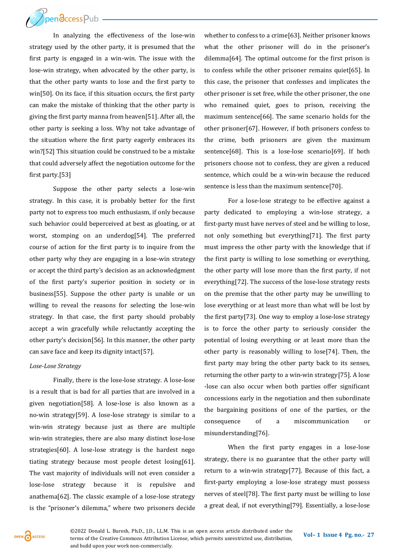*P*pendccess Pub

In analyzing the effectiveness of the lose-win strategy used by the other party, it is presumed that the first party is engaged in a win-win. The issue with the lose-win strategy, when advocated by the other party, is that the other party wants to lose and the first party to win[50]. On its face, if this situation occurs, the first party can make the mistake of thinking that the other party is giving the first party manna from heaven[51]. After all, the other party is seeking a loss. Why not take advantage of the situation where the first party eagerly embraces its win?[52] This situation could be construed to be a mistake that could adversely affect the negotiation outcome for the first party.[53]

Suppose the other party selects a lose-win strategy. In this case, it is probably better for the first party not to express too much enthusiasm, if only because such behavior could beperceived at best as gloating, or at worst, stomping on an underdog[54]. The preferred course of action for the first party is to inquire from the other party why they are engaging in a lose-win strategy or accept the third party's decision as an acknowledgment of the first party's superior position in society or in business[55]. Suppose the other party is unable or un willing to reveal the reasons for selecting the lose-win strategy. In that case, the first party should probably accept a win gracefully while reluctantly accepting the other party's decision[56]. In this manner, the other party can save face and keep its dignity intact[57].

#### *Lose-Lose Strategy*

Finally, there is the lose-lose strategy. A lose-lose is a result that is bad for all parties that are involved in a given negotiation[58]. A lose-lose is also known as a no-win strategy[59]. A lose-lose strategy is similar to a win-win strategy because just as there are multiple win-win strategies, there are also many distinct lose-lose strategies[60]. A lose-lose strategy is the hardest nego tiating strategy because most people detest losing[61]. The vast majority of individuals will not even consider a lose-lose strategy because it is repulsive and anathema[62]. The classic example of a lose-lose strategy is the "prisoner's dilemma," where two prisoners decide

whether to confess to a crime[63]. Neither prisoner knows what the other prisoner will do in the prisoner's dilemma[64]. The optimal outcome for the first prison is to confess while the other prisoner remains quiet[65]. In this case, the prisoner that confesses and implicates the other prisoner is set free, while the other prisoner, the one who remained quiet, goes to prison, receiving the maximum sentence[66]. The same scenario holds for the other prisoner[67]. However, if both prisoners confess to the crime, both prisoners are given the maximum sentence[68]. This is a lose-lose scenario[69]. If both prisoners choose not to confess, they are given a reduced sentence, which could be a win-win because the reduced sentence is less than the maximum sentence[70].

For a lose-lose strategy to be effective against a party dedicated to employing a win-lose strategy, a first-party must have nerves of steel and be willing to lose, not only something but everything[71]. The first party must impress the other party with the knowledge that if the first party is willing to lose something or everything, the other party will lose more than the first party, if not everything[72]. The success of the lose-lose strategy rests on the premise that the other party may be unwilling to lose everything or at least more than what will be lost by the first party[73]. One way to employ a lose-lose strategy is to force the other party to seriously consider the potential of losing everything or at least more than the other party is reasonably willing to lose[74]. Then, the first party may bring the other party back to its senses, returning the other party to a win-win strategy[75]. A lose -lose can also occur when both parties offer significant concessions early in the negotiation and then subordinate the bargaining positions of one of the parties, or the consequence of a miscommunication or misunderstanding[76].

When the first party engages in a lose-lose strategy, there is no guarantee that the other party will return to a win-win strategy[77]. Because of this fact, a first-party employing a lose-lose strategy must possess nerves of steel[78]. The first party must be willing to lose a great deal, if not everything[79]. Essentially, a lose-lose

OPEN CACCESS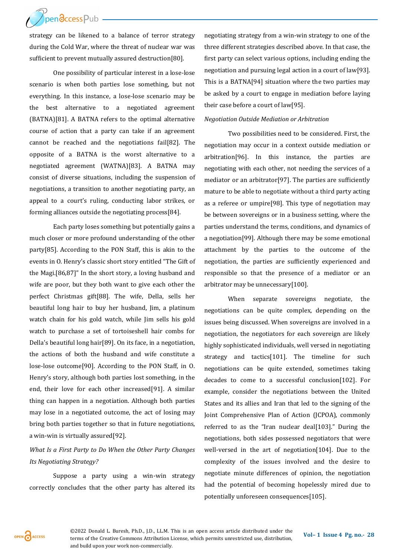Prendccess Pub

strategy can be likened to a balance of terror strategy during the Cold War, where the threat of nuclear war was sufficient to prevent mutually assured destruction[80].

One possibility of particular interest in a lose-lose scenario is when both parties lose something, but not everything. In this instance, a lose-lose scenario may be the best alternative to a negotiated agreement (BATNA)[81]. A BATNA refers to the optimal alternative course of action that a party can take if an agreement cannot be reached and the negotiations fail[82]. The opposite of a BATNA is the worst alternative to a negotiated agreement (WATNA)[83]. A BATNA may consist of diverse situations, including the suspension of negotiations, a transition to another negotiating party, an appeal to a court's ruling, conducting labor strikes, or forming alliances outside the negotiating process[84].

Each party loses something but potentially gains a much closer or more profound understanding of the other party[85]. According to the PON Staff, this is akin to the events in O. Henry's classic short story entitled "The Gift of the Magi.[86,87]" In the short story, a loving husband and wife are poor, but they both want to give each other the perfect Christmas gift[88]. The wife, Della, sells her beautiful long hair to buy her husband, Jim, a platinum watch chain for his gold watch, while Jim sells his gold watch to purchase a set of tortoiseshell hair combs for Della's beautiful long hair[89]. On its face, in a negotiation, the actions of both the husband and wife constitute a lose-lose outcome[90]. According to the PON Staff, in O. Henry's story, although both parties lost something, in the end, their love for each other increased[91]. A similar thing can happen in a negotiation. Although both parties may lose in a negotiated outcome, the act of losing may bring both parties together so that in future negotiations, a win-win is virtually assured[92].

# *What Is a First Party to Do When the Other Party Changes Its Negotiating Strategy?*

Suppose a party using a win-win strategy correctly concludes that the other party has altered its negotiating strategy from a win-win strategy to one of the three different strategies described above. In that case, the first party can select various options, including ending the negotiation and pursuing legal action in a court of law[93]. This is a BATNA[94] situation where the two parties may be asked by a court to engage in mediation before laying their case before a court of law[95].

## *Negotiation Outside Mediation or Arbitration*

Two possibilities need to be considered. First, the negotiation may occur in a context outside mediation or arbitration[96]. In this instance, the parties are negotiating with each other, not needing the services of a mediator or an arbitrator[97]. The parties are sufficiently mature to be able to negotiate without a third party acting as a referee or umpire[98]. This type of negotiation may be between sovereigns or in a business setting, where the parties understand the terms, conditions, and dynamics of a negotiation[99]. Although there may be some emotional attachment by the parties to the outcome of the negotiation, the parties are sufficiently experienced and responsible so that the presence of a mediator or an arbitrator may be unnecessary[100].

When separate sovereigns negotiate, the negotiations can be quite complex, depending on the issues being discussed. When sovereigns are involved in a negotiation, the negotiators for each sovereign are likely highly sophisticated individuals, well versed in negotiating strategy and tactics[101]. The timeline for such negotiations can be quite extended, sometimes taking decades to come to a successful conclusion[102]. For example, consider the negotiations between the United States and its allies and Iran that led to the signing of the Joint Comprehensive Plan of Action (JCPOA), commonly referred to as the "Iran nuclear deal[103]." During the negotiations, both sides possessed negotiators that were well-versed in the art of negotiation[104]. Due to the complexity of the issues involved and the desire to negotiate minute differences of opinion, the negotiation had the potential of becoming hopelessly mired due to potentially unforeseen consequences[105].

OPEN CACCESS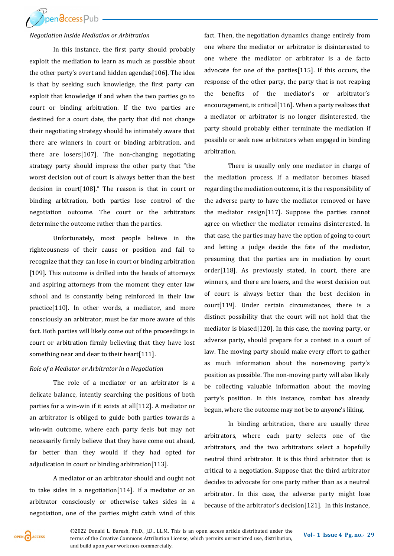

#### *Negotiation Inside Mediation or Arbitration*

In this instance, the first party should probably exploit the mediation to learn as much as possible about the other party's overt and hidden agendas[106]. The idea is that by seeking such knowledge, the first party can exploit that knowledge if and when the two parties go to court or binding arbitration. If the two parties are destined for a court date, the party that did not change their negotiating strategy should be intimately aware that there are winners in court or binding arbitration, and there are losers[107]. The non-changing negotiating strategy party should impress the other party that "the worst decision out of court is always better than the best decision in court[108]." The reason is that in court or binding arbitration, both parties lose control of the negotiation outcome. The court or the arbitrators determine the outcome rather than the parties.

Unfortunately, most people believe in the righteousness of their cause or position and fail to recognize that they can lose in court or binding arbitration [109]. This outcome is drilled into the heads of attorneys and aspiring attorneys from the moment they enter law school and is constantly being reinforced in their law practice[110]. In other words, a mediator, and more consciously an arbitrator, must be far more aware of this fact. Both parties will likely come out of the proceedings in court or arbitration firmly believing that they have lost something near and dear to their heart[111].

#### *Role of a Mediator or Arbitrator in a Negotiation*

The role of a mediator or an arbitrator is a delicate balance, intently searching the positions of both parties for a win-win if it exists at all[112]. A mediator or an arbitrator is obliged to guide both parties towards a win-win outcome, where each party feels but may not necessarily firmly believe that they have come out ahead, far better than they would if they had opted for adjudication in court or binding arbitration[113].

A mediator or an arbitrator should and ought not to take sides in a negotiation[114]. If a mediator or an arbitrator consciously or otherwise takes sides in a negotiation, one of the parties might catch wind of this

fact. Then, the negotiation dynamics change entirely from one where the mediator or arbitrator is disinterested to one where the mediator or arbitrator is a de facto advocate for one of the parties[115]. If this occurs, the response of the other party, the party that is not reaping the benefits of the mediator's or arbitrator's encouragement, is critical[116]. When a party realizes that a mediator or arbitrator is no longer disinterested, the party should probably either terminate the mediation if possible or seek new arbitrators when engaged in binding arbitration.

There is usually only one mediator in charge of the mediation process. If a mediator becomes biased regarding the mediation outcome, it is the responsibility of the adverse party to have the mediator removed or have the mediator resign[117]. Suppose the parties cannot agree on whether the mediator remains disinterested. In that case, the parties may have the option of going to court and letting a judge decide the fate of the mediator, presuming that the parties are in mediation by court order[118]. As previously stated, in court, there are winners, and there are losers, and the worst decision out of court is always better than the best decision in court[119]. Under certain circumstances, there is a distinct possibility that the court will not hold that the mediator is biased[120]. In this case, the moving party, or adverse party, should prepare for a contest in a court of law. The moving party should make every effort to gather as much information about the non-moving party's position as possible. The non-moving party will also likely be collecting valuable information about the moving party's position. In this instance, combat has already begun, where the outcome may not be to anyone's liking.

In binding arbitration, there are usually three arbitrators, where each party selects one of the arbitrators, and the two arbitrators select a hopefully neutral third arbitrator. It is this third arbitrator that is critical to a negotiation. Suppose that the third arbitrator decides to advocate for one party rather than as a neutral arbitrator. In this case, the adverse party might lose because of the arbitrator's decision[121]. In this instance,

OPEN CACCESS

**Vol– <sup>1</sup>Issue 4 Pg. no.-<sup>29</sup>** ©2022 Donald L. Buresh, Ph.D., J.D., LL.M. This is an open access article distributed under the terms of the Creative Commons Attribution License, which permits unrestricted use, distribution, and build upon your work non-commercially.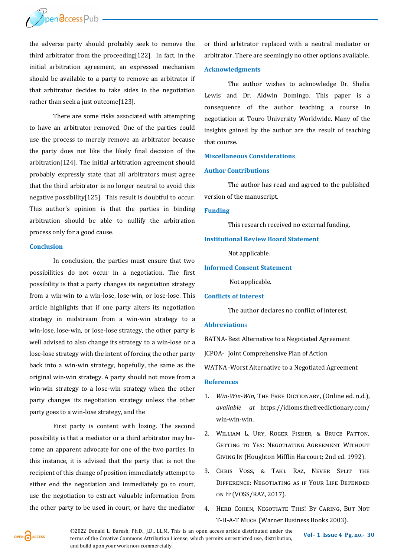

the adverse party should probably seek to remove the third arbitrator from the proceeding[122]. In fact, in the initial arbitration agreement, an expressed mechanism should be available to a party to remove an arbitrator if that arbitrator decides to take sides in the negotiation rather than seek a just outcome[123].

There are some risks associated with attempting to have an arbitrator removed. One of the parties could use the process to merely remove an arbitrator because the party does not like the likely final decision of the arbitration[124]. The initial arbitration agreement should probably expressly state that all arbitrators must agree that the third arbitrator is no longer neutral to avoid this negative possibility[125]. This result is doubtful to occur. This author's opinion is that the parties in binding arbitration should be able to nullify the arbitration process only for a good cause.

#### **Conclusion**

In conclusion, the parties must ensure that two possibilities do not occur in a negotiation. The first possibility is that a party changes its negotiation strategy from a win-win to a win-lose, lose-win, or lose-lose. This article highlights that if one party alters its negotiation strategy in midstream from a win-win strategy to a win-lose, lose-win, or lose-lose strategy, the other party is well advised to also change its strategy to a win-lose or a lose-lose strategy with the intent of forcing the other party back into a win-win strategy, hopefully, the same as the original win-win strategy. A party should not move from a win-win strategy to a lose-win strategy when the other party changes its negotiation strategy unless the other party goes to a win-lose strategy, and the

First party is content with losing. The second possibility is that a mediator or a third arbitrator may become an apparent advocate for one of the two parties. In this instance, it is advised that the party that is not the recipient of this change of position immediately attempt to either end the negotiation and immediately go to court, use the negotiation to extract valuable information from the other party to be used in court, or have the mediator or third arbitrator replaced with a neutral mediator or arbitrator. There are seemingly no other options available.

#### **Acknowledgments**

The author wishes to acknowledge Dr. Shelia Lewis and Dr. Aldwin Domingo. This paper is a consequence of the author teaching a course in negotiation at Touro University Worldwide. Many of the insights gained by the author are the result of teaching that course.

## **Miscellaneous Considerations**

#### **Author Contributions**

The author has read and agreed to the published version of the manuscript.

#### **Funding**

This research received no external funding.

# **Institutional Review Board Statement**

Not applicable.

#### **Informed Consent Statement**

Not applicable.

#### **Conflicts of Interest**

The author declares no conflict of interest.

#### **Abbreviation**s

BATNA-Best Alternative to a Negotiated Agreement

JCPOA- Joint Comprehensive Plan of Action

WATNA-Worst Alternative to a Negotiated Agreement

#### **References**

- 1. *Win-Win-Win*, The Free Dictionary, (Online ed. n.d.), *available at* https://idioms.thefreedictionary.com/ win-win-win.
- 2. William L. Ury, Roger Fisher, & Bruce Patton, GETTING TO YES: NEGOTIATING AGREEMENT WITHOUT Giving In (Houghton Mifflin Harcourt; 2nd ed. 1992).
- 3. Chris Voss, & Tahl Raz, Never Split the Difference: Negotiating as if Your Life Depended on It (VOSS/RAZ, 2017).
- 4. HERB COHEN, NEGOTIATE THIS! BY CARING, BUT NOT T-H-A-T Much (Warner Business Books 2003).



**©2022** Donald L. Buresh, Ph.D., J.D., LL.M. This is an open access article distributed under the **Vol–1 Issue 4 Pg. no. -** 30 terms of the Creative Commons Attribution License, which permits unrestricted use, distribution, and build upon your work non-commercially.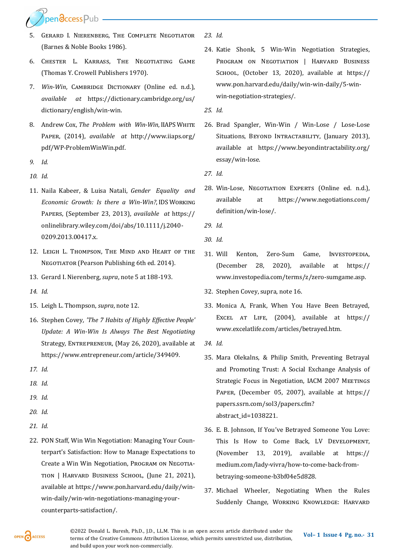pendccess Pub

- 5. Gerard I. Nierenberg, The Complete Negotiator (Barnes & Noble Books 1986).
- 6. Chester L. Karrass, The Negotiating Game (Thomas Y. Crowell Publishers 1970).
- 7. *Win-Win*, Cambridge Dictionary (Online ed. n.d.), *available at* https://dictionary.cambridge.org/us/ dictionary/english/win-win.
- 8. Andrew Cox, *The Problem with Win-Win*, IIAPS White Paper, (2014), *available at* http://www.iiaps.org/ pdf/WP-ProblemWinWin.pdf.
- *9. Id.*
- *10. Id.*
- 11. Naila Kabeer, & Luisa Natali, *Gender Equality and Economic Growth: Is there a Win-Win?*, IDS Working Papers, (September 23, 2013), *available at* https:// onlinelibrary.wiley.com/doi/abs/10.1111/j.2040- 0209.2013.00417.x.
- 12. Leigh L. Thompson, The Mind and Heart of the NEGOTIATOR (Pearson Publishing 6th ed. 2014).
- 13. Gerard I. Nierenberg, *supra*, note 5 at 188-193.
- *14. Id.*
- 15. Leigh L. Thompson, *supra*, note 12.
- 16. Stephen Covey*, 'The 7 Habits of Highly Effective People' Update: A Win-Win Is Always The Best Negotiating*  Strategy, ENTREPRENEUR, (May 26, 2020), available at https://www.entrepreneur.com/article/349409.
- *17. Id.*
- *18. Id.*
- *19. Id.*
- *20. Id.*
- *21. Id.*
- 22. PON Staff, Win Win Negotiation: Managing Your Counterpart's Satisfaction: How to Manage Expectations to Create a Win Win Negotiation, PROGRAM ON NEGOTIAtion | Harvard Business School, (June 21, 2021), available at https://www.pon.harvard.edu/daily/winwin-daily/win-win-negotiations-managing-yourcounterparts-satisfaction/.
- *23. Id.*
- 24. Katie Shonk, 5 Win-Win Negotiation Strategies, PROGRAM ON NEGOTIATION | HARVARD BUSINESS SCHOOL, (October 13, 2020), available at https:// www.pon.harvard.edu/daily/win-win-daily/5-winwin-negotiation-strategies/.
- *25. Id.*
- 26. Brad Spangler, Win-Win / Win-Lose / Lose-Lose Situations, BEYOND INTRACTABILITY, (January 2013), available at https://www.beyondintractability.org/ essay/win-lose.
- *27. Id.*
- 28. Win-Lose, NEGOTIATION EXPERTS (Online ed. n.d.), available at https://www.negotiations.com/ definition/win-lose/.
- *29. Id.*
- *30. Id.*
- 31. Will Kenton, Zero-Sum Game, INVESTOPEDIA, (December 28, 2020), available at https:// www.investopedia.com/terms/z/zero-sumgame.asp.
- 32. Stephen Covey, supra, note 16.
- 33. Monica A, Frank, When You Have Been Betrayed, Excel at Life, (2004), available at https:// www.excelatlife.com/articles/betrayed.htm.
- *34. Id.*
- 35. Mara Olekalns, & Philip Smith, Preventing Betrayal and Promoting Trust: A Social Exchange Analysis of Strategic Focus in Negotiation, IACM 2007 MEETINGS Paper, (December 05, 2007), available at https:// papers.ssrn.com/sol3/papers.cfm? abstract\_id=1038221.
- 36. E. B. Johnson, If You've Betrayed Someone You Love: This Is How to Come Back, LV DEVELOPMENT, (November 13, 2019), available at https:// medium.com/lady-vivra/how-to-come-back-frombetraying-someone-b3bf04e5d828.
- 37. Michael Wheeler, Negotiating When the Rules Suddenly Change, WORKING KNOWLEDGE: HARVARD

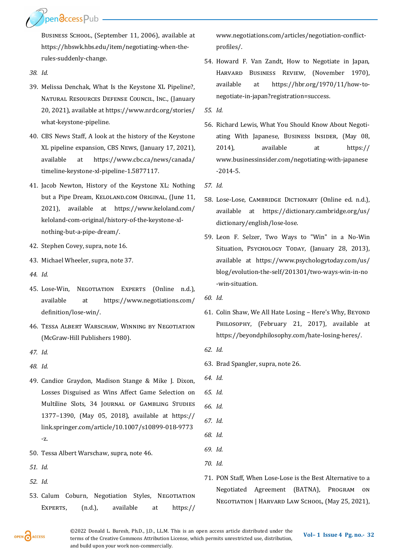Business School, (September 11, 2006), available at https://hbswk.hbs.edu/item/negotiating-when-therules-suddenly-change.

*38. Id.*

Ppendccess Pub

- 39. Melissa Denchak, What Is the Keystone XL Pipeline?, Natural Resources Defense Council, Inc., (January 20, 2021), available at https://www.nrdc.org/stories/ what-keystone-pipeline.
- 40. CBS News Staff, A look at the history of the Keystone XL pipeline expansion, CBS News, (January 17, 2021), available at https://www.cbc.ca/news/canada/ timeline-keystone-xl-pipeline-1.5877117.
- 41. Jacob Newton, History of the Keystone XL: Nothing but a Pipe Dream, KELOLAND.COM ORIGINAL, (June 11, 2021), available at https://www.keloland.com/ keloland-com-original/history-of-the-keystone-xlnothing-but-a-pipe-dream/.
- 42. Stephen Covey, supra, note 16.
- 43. Michael Wheeler, supra, note 37.
- *44. Id.*
- 45. Lose-Win, Negotiation Experts (Online n.d.), available at https://www.negotiations.com/ definition/lose-win/.
- 46. Tessa Albert Warschaw, Winning by Negotiation (McGraw-Hill Publishers 1980).
- *47. Id.*
- *48. Id.*
- 49. Candice Graydon, Madison Stange & Mike J. Dixon, Losses Disguised as Wins Affect Game Selection on Multiline Slots, 34 Journal of Gambling Studies 1377–1390, (May 05, 2018), available at https:// link.springer.com/article/10.1007/s10899-018-9773 -z.
- 50. Tessa Albert Warschaw, supra, note 46.
- *51. Id.*
- *52. Id.*
- 53. Calum Coburn, Negotiation Styles, NEGOTIATION EXPERTS, (n.d.), available at https://

www.negotiations.com/articles/negotiation-conflictprofiles/.

- 54. Howard F. Van Zandt, How to Negotiate in Japan, Harvard Business Review, (November 1970), available at https://hbr.org/1970/11/how-tonegotiate-in-japan?registration=success.
- *55. Id.*
- 56. Richard Lewis, What You Should Know About Negotiating With Japanese, Business Insider, (May 08, 2014), available at https:// www.businessinsider.com/negotiating-with-japanese -2014-5.
- *57. Id.*
- 58. Lose-Lose, CAMBRIDGE DICTIONARY (Online ed. n.d.), available at https://dictionary.cambridge.org/us/ dictionary/english/lose-lose.
- 59. Leon F. Selzer, Two Ways to "Win" in a No-Win Situation, Psychology Today, (January 28, 2013), available at https://www.psychologytoday.com/us/ blog/evolution-the-self/201301/two-ways-win-in-no -win-situation.
- *60. Id.*
- 61. Colin Shaw, We All Hate Losing Here's Why, Beyond PHILOSOPHY, (February 21, 2017), available at https://beyondphilosophy.com/hate-losing-heres/.
- *62. Id.*
- 63. Brad Spangler, supra, note 26.
- *64. Id.*
- *65. Id.*
- *66. Id.*
- *67. Id.*
- *68. Id.*
- *69. Id.*
- *70. Id.*
- 71. PON Staff, When Lose-Lose is the Best Alternative to a Negotiated Agreement (BATNA), Program on NEGOTIATION | HARVARD LAW SCHOOL, (May 25, 2021),

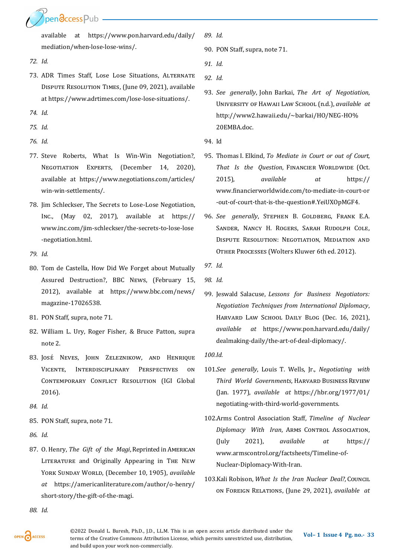pendccess Pub

available at https://www.pon.harvard.edu/daily/ mediation/when-lose-lose-wins/.

- *72. Id.*
- 73. ADR Times Staff, Lose Lose Situations, Alternate Dispute Resolution Times, (June 09, 2021), available at https://www.adrtimes.com/lose-lose-situations/.
- *74. Id.*
- *75. Id.*
- *76. Id.*
- 77. Steve Roberts, What Is Win-Win Negotiation?, NEGOTIATION EXPERTS, (December 14, 2020), available at https://www.negotiations.com/articles/ win-win-settlements/.
- 78. Jim Schleckser, The Secrets to Lose-Lose Negotiation, Inc.,  $(May \ 02, \ 2017)$ , available at https:// www.inc.com/jim-schleckser/the-secrets-to-lose-lose -negotiation.html.
- *79. Id.*
- 80. Tom de Castella, How Did We Forget about Mutually Assured Destruction?, BBC News, (February 15, 2012), available at https://www.bbc.com/news/ magazine-17026538.
- 81. PON Staff, supra, note 71.
- 82. William L. Ury, Roger Fisher, & Bruce Patton, supra note 2.
- 83. Jose Neves, John Zeleznikow, and Henrique Vicente, Interdisciplinary Perspectives on CONTEMPORARY CONFLICT RESOLUTION (IGI Global 2016).
- *84. Id.*
- 85. PON Staff, supra, note 71.
- *86. Id.*
- 87. O. Henry, *The Gift of the Magi*, Reprinted in American LITERATURE and Originally Appearing in THE NEW YORK SUNDAY WORLD, (December 10, 1905), *available at* https://americanliterature.com/author/o-henry/ short-story/the-gift-of-the-magi.

*88. Id.*

*89. Id.*

- 90. PON Staff, supra, note 71.
- *91. Id.*
- *92. Id.*
- 93. *See generally*, John Barkai, *The Art of Negotiation*, University of Hawaii Law School (n.d.), *available at* http://www2.hawaii.edu/~barkai/HO/NEG-HO% 20EMBA.doc.
- 94. Id
- 95. Thomas I. Elkind, *To Mediate in Court or out of Court,*  That Is the Question, FINANCIER WORLDWIDE (Oct. 2015), *available at* https:// www.financierworldwide.com/to-mediate-in-court-or -out-of-court-that-is-the-question#.YeiUXOpMGF4.
- 96. See generally, STEPHEN B. GOLDBERG, FRANK E.A. Sander, Nancy H. Rogers, Sarah Rudolph Cole, Dispute Resolution: Negotiation, Mediation and OTHER PROCESSES (Wolters Kluwer 6th ed. 2012).
- *97. Id.*
- *98. Id.*
- 99. Jeswald Salacuse, *Lessons for Business Negotiators: Negotiation Techniques from International Diplomacy*, HARVARD LAW SCHOOL DAILY BLOG (Dec. 16, 2021), *available at* https://www.pon.harvard.edu/daily/ dealmaking-daily/the-art-of-deal-diplomacy/.

*100.Id.*

- 101.*See generally*, Louis T. Wells, Jr., *Negotiating with Third World Governments*, Harvard Business Review (Jan. 1977), *available at* https://hbr.org/1977/01/ negotiating-with-third-world-governments.
- 102.Arms Control Association Staff, *Timeline of Nuclear*  **Diplomacy With Iran, ARMS CONTROL ASSOCIATION,** (July 2021), *available at* https:// www.armscontrol.org/factsheets/Timeline-of-Nuclear-Diplomacy-With-Iran.
- 103.Kali Robison, *What Is the Iran Nuclear Deal?*, Council on Foreign Relations, (June 29, 2021), *available at*